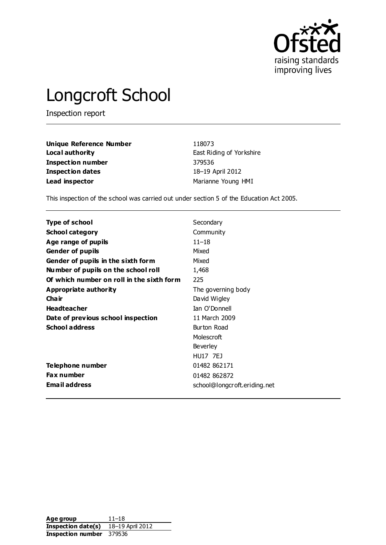

# Longcroft School

Inspection report

| <b>Unique Reference Number</b> | 118073                   |
|--------------------------------|--------------------------|
| Local authority                | East Riding of Yorkshire |
| Inspection number              | 379536                   |
| <b>Inspection dates</b>        | 18-19 April 2012         |
| Lead inspector                 | Marianne Young HMI       |

This inspection of the school was carried out under section 5 of the Education Act 2005.

| Type of school                            | Secondary                    |
|-------------------------------------------|------------------------------|
| <b>School category</b>                    | Community                    |
| Age range of pupils                       | $11 - 18$                    |
| <b>Gender of pupils</b>                   | Mixed                        |
| Gender of pupils in the sixth form        | Mixed                        |
| Number of pupils on the school roll       | 1,468                        |
| Of which number on roll in the sixth form | 225                          |
| Appropriate authority                     | The governing body           |
| Cha ir                                    | David Wigley                 |
| <b>Headteacher</b>                        | Ian O'Donnell                |
| Date of previous school inspection        | 11 March 2009                |
| <b>School address</b>                     | Burton Road                  |
|                                           | Molescroft                   |
|                                           | Beverley                     |
|                                           | <b>HU17 7EJ</b>              |
| Telephone number                          | 01482 862171                 |
| Fax number                                | 01482 862872                 |
| Email address                             | school@longcroft.eriding.net |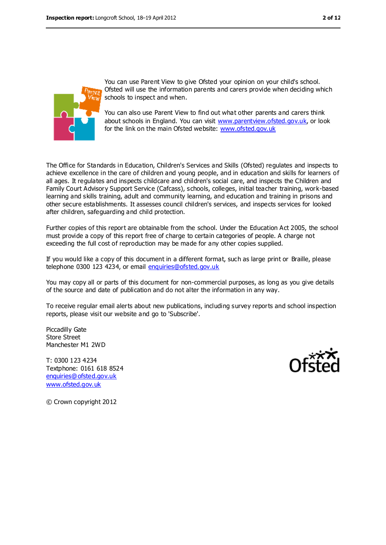

You can use Parent View to give Ofsted your opinion on your child's school. Ofsted will use the information parents and carers provide when deciding which schools to inspect and when.

You can also use Parent View to find out what other parents and carers think about schools in England. You can visit [www.parentview.ofsted.gov.uk,](file:///C:/Documents%20and%20Settings/tharber.stuart/Application%20Data/Microsoft/Word/www.parentview.ofsted.gov.uk) or look for the link on the main Ofsted website: [www.ofsted.gov.uk](file:///C:/Documents%20and%20Settings/tharber.stuart/Application%20Data/Microsoft/Word/www.ofsted.gov.uk)

The Office for Standards in Education, Children's Services and Skills (Ofsted) regulates and inspects to achieve excellence in the care of children and young people, and in education and skills for learners of all ages. It regulates and inspects childcare and children's social care, and inspects the Children and Family Court Advisory Support Service (Cafcass), schools, colleges, initial teacher training, work-based learning and skills training, adult and community learning, and education and training in prisons and other secure establishments. It assesses council children's services, and inspects services for looked after children, safeguarding and child protection.

Further copies of this report are obtainable from the school. Under the Education Act 2005, the school must provide a copy of this report free of charge to certain categories of people. A charge not exceeding the full cost of reproduction may be made for any other copies supplied.

If you would like a copy of this document in a different format, such as large print or Braille, please telephone 0300 123 4234, or email [enquiries@ofsted.gov.uk](mailto:enquiries@ofsted.gov.uk)

You may copy all or parts of this document for non-commercial purposes, as long as you give details of the source and date of publication and do not alter the information in any way.

To receive regular email alerts about new publications, including survey reports and school inspection reports, please visit our website and go to 'Subscribe'.

Piccadilly Gate Store Street Manchester M1 2WD

T: 0300 123 4234 Textphone: 0161 618 8524 [enquiries@ofsted.gov.uk](mailto:enquiries@ofsted.gov.uk) [www.ofsted.gov.uk](http://www.ofsted.gov.uk/)



© Crown copyright 2012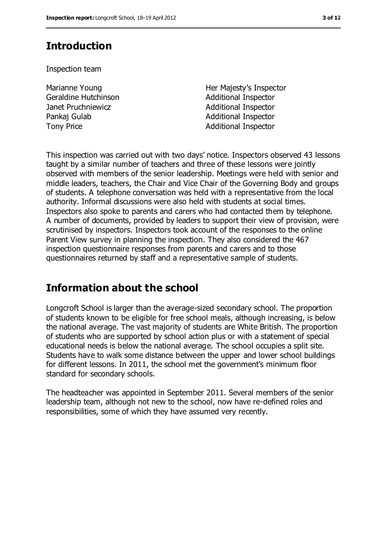## **Introduction**

Inspection team

Marianne Young Geraldine Hutchinson Janet Pruchniewicz **Additional Inspector** Pankaj Gulab **Additional Inspector** Tony Price **Additional Inspector** 

Her Majesty's Inspector Additional Inspector

This inspection was carried out with two days' notice. Inspectors observed 43 lessons taught by a similar number of teachers and three of these lessons were jointly observed with members of the senior leadership. Meetings were held with senior and middle leaders, teachers, the Chair and Vice Chair of the Governing Body and groups of students. A telephone conversation was held with a representative from the local authority. Informal discussions were also held with students at social times. Inspectors also spoke to parents and carers who had contacted them by telephone. A number of documents, provided by leaders to support their view of provision, were scrutinised by inspectors. Inspectors took account of the responses to the online Parent View survey in planning the inspection. They also considered the 467 inspection questionnaire responses from parents and carers and to those questionnaires returned by staff and a representative sample of students.

## **Information about the school**

Longcroft School is larger than the average-sized secondary school. The proportion of students known to be eligible for free school meals, although increasing, is below the national average. The vast majority of students are White British. The proportion of students who are supported by school action plus or with a statement of special educational needs is below the national average. The school occupies a split site. Students have to walk some distance between the upper and lower school buildings for different lessons. In 2011, the school met the government's minimum floor standard for secondary schools.

The headteacher was appointed in September 2011. Several members of the senior leadership team, although not new to the school, now have re-defined roles and responsibilities, some of which they have assumed very recently.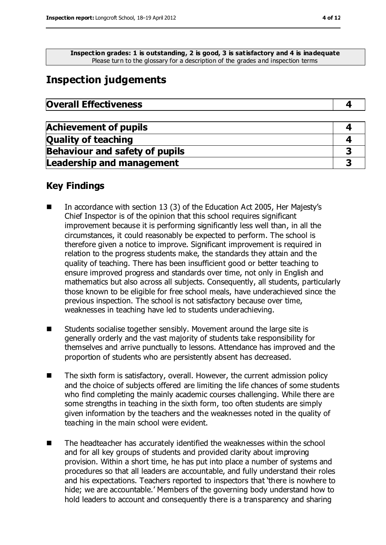**Inspection grades: 1 is outstanding, 2 is good, 3 is satisfactory and 4 is inadequate** Please turn to the glossary for a description of the grades and inspection terms

## **Inspection judgements**

| <b>Overall Effectiveness</b> |  |
|------------------------------|--|
|------------------------------|--|

| <b>Achievement of pupils</b>          |  |
|---------------------------------------|--|
| <b>Quality of teaching</b>            |  |
| <b>Behaviour and safety of pupils</b> |  |
| <b>Leadership and management</b>      |  |

#### **Key Findings**

- In accordance with section 13 (3) of the Education Act 2005, Her Majesty's Chief Inspector is of the opinion that this school requires significant improvement because it is performing significantly less well than, in all the circumstances, it could reasonably be expected to perform. The school is therefore given a notice to improve. Significant improvement is required in relation to the progress students make, the standards they attain and the quality of teaching. There has been insufficient good or better teaching to ensure improved progress and standards over time, not only in English and mathematics but also across all subjects. Consequently, all students, particularly those known to be eligible for free school meals, have underachieved since the previous inspection. The school is not satisfactory because over time, weaknesses in teaching have led to students underachieving.
- Students socialise together sensibly. Movement around the large site is generally orderly and the vast majority of students take responsibility for themselves and arrive punctually to lessons. Attendance has improved and the proportion of students who are persistently absent has decreased.
- The sixth form is satisfactory, overall. However, the current admission policy and the choice of subjects offered are limiting the life chances of some students who find completing the mainly academic courses challenging. While there are some strengths in teaching in the sixth form, too often students are simply given information by the teachers and the weaknesses noted in the quality of teaching in the main school were evident.
- The headteacher has accurately identified the weaknesses within the school and for all key groups of students and provided clarity about improving provision. Within a short time, he has put into place a number of systems and procedures so that all leaders are accountable, and fully understand their roles and his expectations. Teachers reported to inspectors that 'there is nowhere to hide; we are accountable.' Members of the governing body understand how to hold leaders to account and consequently there is a transparency and sharing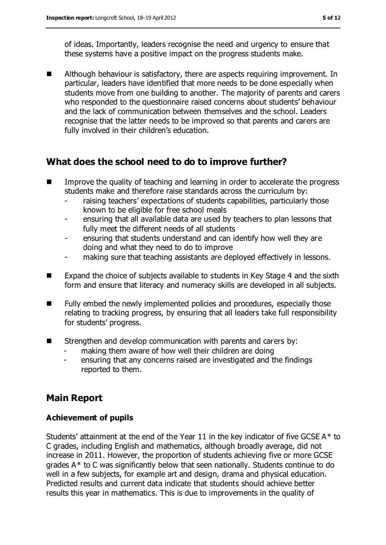of ideas. Importantly, leaders recognise the need and urgency to ensure that these systems have a positive impact on the progress students make.

■ Although behaviour is satisfactory, there are aspects requiring improvement. In particular, leaders have identified that more needs to be done especially when students move from one building to another. The majority of parents and carers who responded to the questionnaire raised concerns about students' behaviour and the lack of communication between themselves and the school. Leaders recognise that the latter needs to be improved so that parents and carers are fully involved in their children's education.

## **What does the school need to do to improve further?**

- **IMP** Improve the quality of teaching and learning in order to accelerate the progress students make and therefore raise standards across the curriculum by:
	- raising teachers' expectations of students capabilities, particularly those known to be eligible for free school meals
	- ensuring that all available data are used by teachers to plan lessons that fully meet the different needs of all students
	- ensuring that students understand and can identify how well they are doing and what they need to do to improve
	- making sure that teaching assistants are deployed effectively in lessons.
- Expand the choice of subjects available to students in Key Stage 4 and the sixth form and ensure that literacy and numeracy skills are developed in all subjects.
- Fully embed the newly implemented policies and procedures, especially those relating to tracking progress, by ensuring that all leaders take full responsibility for students' progress.
- **EXTERGHERIC EXTERGHERIC EXTERGHERIC EXTERGHERIC EXTERGHERIC EXTERGHERIC EXTERGHERIC EXTERGHERIC EXTERGHERIC EXTERGHERIC EXTERGHERIC EXTERGHERIC EXTERGHERIC EXTERGHERIC EXTERGHERIC EXTERGHERIC EXTERGHERIC EXTERGHERIC EXTER** 
	- making them aware of how well their children are doing
	- ensuring that any concerns raised are investigated and the findings reported to them.

## **Main Report**

#### **Achievement of pupils**

Students' attainment at the end of the Year 11 in the key indicator of five GCSE  $A^*$  to C grades, including English and mathematics, although broadly average, did not increase in 2011. However, the proportion of students achieving five or more GCSE grades A\* to C was significantly below that seen nationally. Students continue to do well in a few subjects, for example art and design, drama and physical education. Predicted results and current data indicate that students should achieve better results this year in mathematics. This is due to improvements in the quality of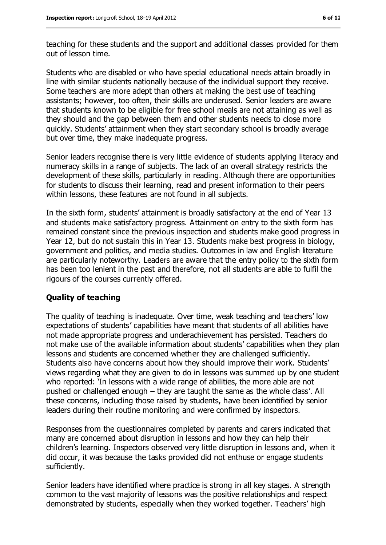teaching for these students and the support and additional classes provided for them out of lesson time.

Students who are disabled or who have special educational needs attain broadly in line with similar students nationally because of the individual support they receive. Some teachers are more adept than others at making the best use of teaching assistants; however, too often, their skills are underused. Senior leaders are aware that students known to be eligible for free school meals are not attaining as well as they should and the gap between them and other students needs to close more quickly. Students' attainment when they start secondary school is broadly average but over time, they make inadequate progress.

Senior leaders recognise there is very little evidence of students applying literacy and numeracy skills in a range of subjects. The lack of an overall strategy restricts the development of these skills, particularly in reading. Although there are opportunities for students to discuss their learning, read and present information to their peers within lessons, these features are not found in all subjects.

In the sixth form, students' attainment is broadly satisfactory at the end of Year 13 and students make satisfactory progress. Attainment on entry to the sixth form has remained constant since the previous inspection and students make good progress in Year 12, but do not sustain this in Year 13. Students make best progress in biology, government and politics, and media studies. Outcomes in law and English literature are particularly noteworthy. Leaders are aware that the entry policy to the sixth form has been too lenient in the past and therefore, not all students are able to fulfil the rigours of the courses currently offered.

#### **Quality of teaching**

The quality of teaching is inadequate. Over time, weak teaching and teachers' low expectations of students' capabilities have meant that students of all abilities have not made appropriate progress and underachievement has persisted. Teachers do not make use of the available information about students' capabilities when they plan lessons and students are concerned whether they are challenged sufficiently. Students also have concerns about how they should improve their work. Students' views regarding what they are given to do in lessons was summed up by one student who reported: 'In lessons with a wide range of abilities, the more able are not pushed or challenged enough – they are taught the same as the whole class'. All these concerns, including those raised by students, have been identified by senior leaders during their routine monitoring and were confirmed by inspectors.

Responses from the questionnaires completed by parents and carers indicated that many are concerned about disruption in lessons and how they can help their children's learning. Inspectors observed very little disruption in lessons and, when it did occur, it was because the tasks provided did not enthuse or engage students sufficiently.

Senior leaders have identified where practice is strong in all key stages. A strength common to the vast majority of lessons was the positive relationships and respect demonstrated by students, especially when they worked together. Teachers' high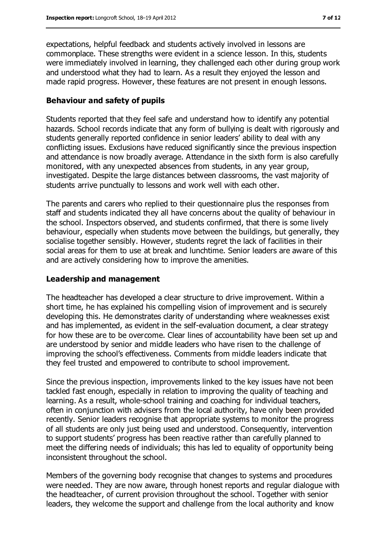expectations, helpful feedback and students actively involved in lessons are commonplace. These strengths were evident in a science lesson. In this, students were immediately involved in learning, they challenged each other during group work and understood what they had to learn. As a result they enjoyed the lesson and made rapid progress. However, these features are not present in enough lessons.

#### **Behaviour and safety of pupils**

Students reported that they feel safe and understand how to identify any potential hazards. School records indicate that any form of bullying is dealt with rigorously and students generally reported confidence in senior leaders' ability to deal with any conflicting issues. Exclusions have reduced significantly since the previous inspection and attendance is now broadly average. Attendance in the sixth form is also carefully monitored, with any unexpected absences from students, in any year group, investigated. Despite the large distances between classrooms, the vast majority of students arrive punctually to lessons and work well with each other.

The parents and carers who replied to their questionnaire plus the responses from staff and students indicated they all have concerns about the quality of behaviour in the school. Inspectors observed, and students confirmed, that there is some lively behaviour, especially when students move between the buildings, but generally, they socialise together sensibly. However, students regret the lack of facilities in their social areas for them to use at break and lunchtime. Senior leaders are aware of this and are actively considering how to improve the amenities.

#### **Leadership and management**

The headteacher has developed a clear structure to drive improvement. Within a short time, he has explained his compelling vision of improvement and is securely developing this. He demonstrates clarity of understanding where weaknesses exist and has implemented, as evident in the self-evaluation document, a clear strategy for how these are to be overcome. Clear lines of accountability have been set up and are understood by senior and middle leaders who have risen to the challenge of improving the school's effectiveness. Comments from middle leaders indicate that they feel trusted and empowered to contribute to school improvement.

Since the previous inspection, improvements linked to the key issues have not been tackled fast enough, especially in relation to improving the quality of teaching and learning. As a result, whole-school training and coaching for individual teachers, often in conjunction with advisers from the local authority, have only been provided recently. Senior leaders recognise that appropriate systems to monitor the progress of all students are only just being used and understood. Consequently, intervention to support students' progress has been reactive rather than carefully planned to meet the differing needs of individuals; this has led to equality of opportunity being inconsistent throughout the school.

Members of the governing body recognise that changes to systems and procedures were needed. They are now aware, through honest reports and regular dialogue with the headteacher, of current provision throughout the school. Together with senior leaders, they welcome the support and challenge from the local authority and know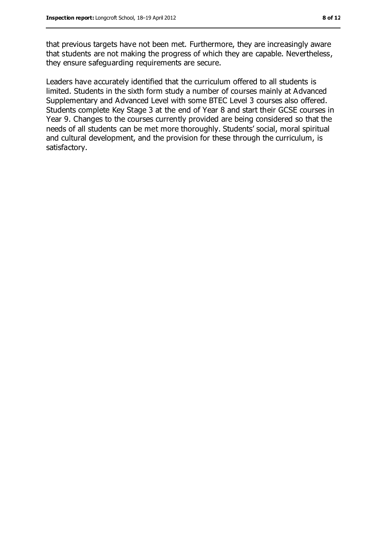that previous targets have not been met. Furthermore, they are increasingly aware that students are not making the progress of which they are capable. Nevertheless, they ensure safeguarding requirements are secure.

Leaders have accurately identified that the curriculum offered to all students is limited. Students in the sixth form study a number of courses mainly at Advanced Supplementary and Advanced Level with some BTEC Level 3 courses also offered. Students complete Key Stage 3 at the end of Year 8 and start their GCSE courses in Year 9. Changes to the courses currently provided are being considered so that the needs of all students can be met more thoroughly. Students' social, moral spiritual and cultural development, and the provision for these through the curriculum, is satisfactory.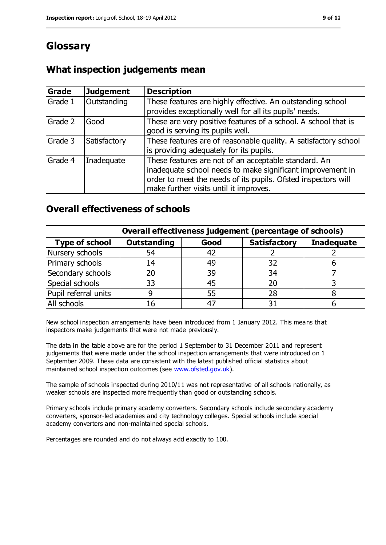## **Glossary**

### **What inspection judgements mean**

| Grade   | <b>Judgement</b> | <b>Description</b>                                                                                                                                                                                                            |
|---------|------------------|-------------------------------------------------------------------------------------------------------------------------------------------------------------------------------------------------------------------------------|
| Grade 1 | Outstanding      | These features are highly effective. An outstanding school<br>provides exceptionally well for all its pupils' needs.                                                                                                          |
| Grade 2 | Good             | These are very positive features of a school. A school that is<br>good is serving its pupils well.                                                                                                                            |
| Grade 3 | Satisfactory     | These features are of reasonable quality. A satisfactory school<br>is providing adequately for its pupils.                                                                                                                    |
| Grade 4 | Inadequate       | These features are not of an acceptable standard. An<br>inadequate school needs to make significant improvement in<br>order to meet the needs of its pupils. Ofsted inspectors will<br>make further visits until it improves. |

#### **Overall effectiveness of schools**

|                       | Overall effectiveness judgement (percentage of schools) |      |                     |                   |
|-----------------------|---------------------------------------------------------|------|---------------------|-------------------|
| <b>Type of school</b> | <b>Outstanding</b>                                      | Good | <b>Satisfactory</b> | <b>Inadequate</b> |
| Nursery schools       | 54                                                      | 42   |                     |                   |
| Primary schools       | 14                                                      | 49   | 32                  |                   |
| Secondary schools     | 20                                                      | 39   | 34                  |                   |
| Special schools       | 33                                                      | 45   | 20                  |                   |
| Pupil referral units  | 9                                                       | 55   | 28                  |                   |
| All schools           | 16                                                      | $-4$ |                     |                   |

New school inspection arrangements have been introduced from 1 January 2012. This means that inspectors make judgements that were not made previously.

The data in the table above are for the period 1 September to 31 December 2011 and represent judgements that were made under the school inspection arrangements that were introduced on 1 September 2009. These data are consistent with the latest published official statistics about maintained school inspection outcomes (see [www.ofsted.gov.uk\)](file:///C:/Documents%20and%20Settings/tharber.stuart/Application%20Data/Microsoft/Word/www.ofsted.gov.uk).

The sample of schools inspected during 2010/11 was not representative of all schools nationally, as weaker schools are inspected more frequently than good or outstanding schools.

Primary schools include primary academy converters. Secondary schools include secondary academy converters, sponsor-led academies and city technology colleges. Special schools include special academy converters and non-maintained special schools.

Percentages are rounded and do not always add exactly to 100.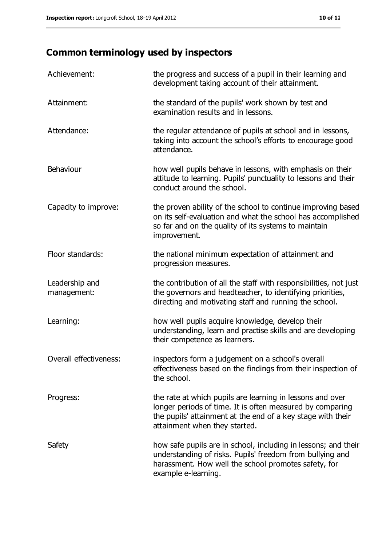## **Common terminology used by inspectors**

| Achievement:                  | the progress and success of a pupil in their learning and<br>development taking account of their attainment.                                                                                                           |
|-------------------------------|------------------------------------------------------------------------------------------------------------------------------------------------------------------------------------------------------------------------|
| Attainment:                   | the standard of the pupils' work shown by test and<br>examination results and in lessons.                                                                                                                              |
| Attendance:                   | the regular attendance of pupils at school and in lessons,<br>taking into account the school's efforts to encourage good<br>attendance.                                                                                |
| Behaviour                     | how well pupils behave in lessons, with emphasis on their<br>attitude to learning. Pupils' punctuality to lessons and their<br>conduct around the school.                                                              |
| Capacity to improve:          | the proven ability of the school to continue improving based<br>on its self-evaluation and what the school has accomplished<br>so far and on the quality of its systems to maintain<br>improvement.                    |
| Floor standards:              | the national minimum expectation of attainment and<br>progression measures.                                                                                                                                            |
| Leadership and<br>management: | the contribution of all the staff with responsibilities, not just<br>the governors and headteacher, to identifying priorities,<br>directing and motivating staff and running the school.                               |
| Learning:                     | how well pupils acquire knowledge, develop their<br>understanding, learn and practise skills and are developing<br>their competence as learners.                                                                       |
| Overall effectiveness:        | inspectors form a judgement on a school's overall<br>effectiveness based on the findings from their inspection of<br>the school.                                                                                       |
| Progress:                     | the rate at which pupils are learning in lessons and over<br>longer periods of time. It is often measured by comparing<br>the pupils' attainment at the end of a key stage with their<br>attainment when they started. |
| Safety                        | how safe pupils are in school, including in lessons; and their<br>understanding of risks. Pupils' freedom from bullying and<br>harassment. How well the school promotes safety, for<br>example e-learning.             |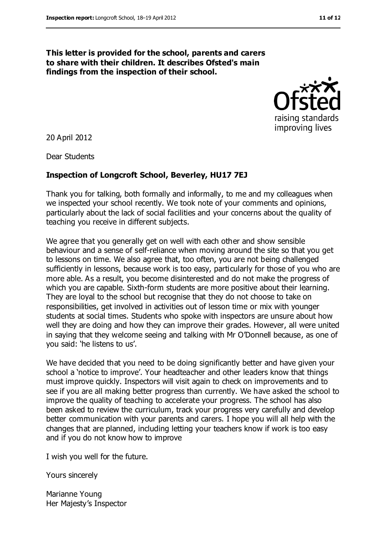#### **This letter is provided for the school, parents and carers to share with their children. It describes Ofsted's main findings from the inspection of their school.**



20 April 2012

Dear Students

#### **Inspection of Longcroft School, Beverley, HU17 7EJ**

Thank you for talking, both formally and informally, to me and my colleagues when we inspected your school recently. We took note of your comments and opinions, particularly about the lack of social facilities and your concerns about the quality of teaching you receive in different subjects.

We agree that you generally get on well with each other and show sensible behaviour and a sense of self-reliance when moving around the site so that you get to lessons on time. We also agree that, too often, you are not being challenged sufficiently in lessons, because work is too easy, particularly for those of you who are more able. As a result, you become disinterested and do not make the progress of which you are capable. Sixth-form students are more positive about their learning. They are loyal to the school but recognise that they do not choose to take on responsibilities, get involved in activities out of lesson time or mix with younger students at social times. Students who spoke with inspectors are unsure about how well they are doing and how they can improve their grades. However, all were united in saying that they welcome seeing and talking with Mr O'Donnell because, as one of you said: 'he listens to us'.

We have decided that you need to be doing significantly better and have given your school a 'notice to improve'. Your headteacher and other leaders know that things must improve quickly. Inspectors will visit again to check on improvements and to see if you are all making better progress than currently. We have asked the school to improve the quality of teaching to accelerate your progress. The school has also been asked to review the curriculum, track your progress very carefully and develop better communication with your parents and carers. I hope you will all help with the changes that are planned, including letting your teachers know if work is too easy and if you do not know how to improve

I wish you well for the future.

Yours sincerely

Marianne Young Her Majesty's Inspector